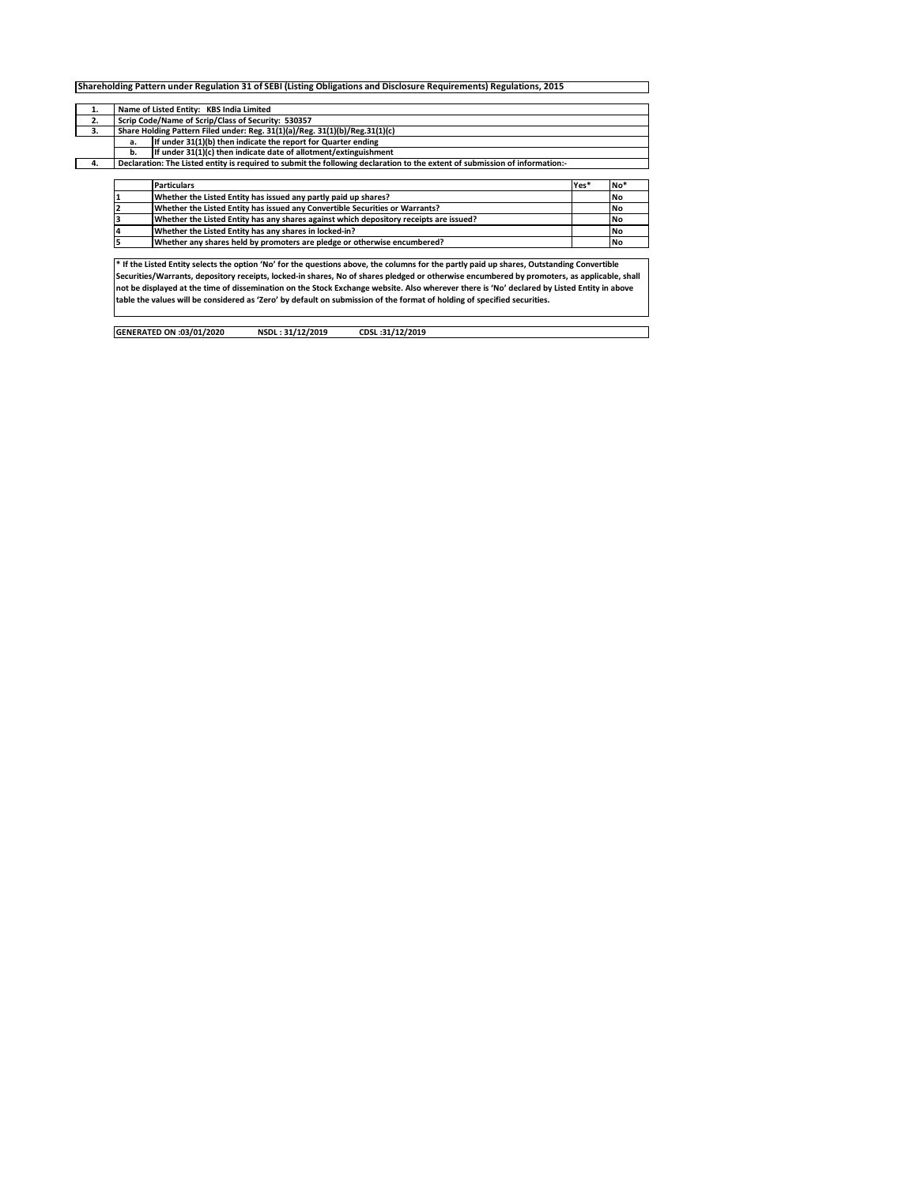|    |                                                                                        | Shareholding Pattern under Regulation 31 of SEBI (Listing Obligations and Disclosure Requirements) Regulations, 2015                        |      |           |  |  |  |  |  |  |  |  |  |  |  |
|----|----------------------------------------------------------------------------------------|---------------------------------------------------------------------------------------------------------------------------------------------|------|-----------|--|--|--|--|--|--|--|--|--|--|--|
| 1. |                                                                                        | Name of Listed Entity: KBS India Limited                                                                                                    |      |           |  |  |  |  |  |  |  |  |  |  |  |
| 2. |                                                                                        | Scrip Code/Name of Scrip/Class of Security: 530357                                                                                          |      |           |  |  |  |  |  |  |  |  |  |  |  |
| 3. |                                                                                        | Share Holding Pattern Filed under: Reg. 31(1)(a)/Reg. 31(1)(b)/Reg.31(1)(c)                                                                 |      |           |  |  |  |  |  |  |  |  |  |  |  |
|    | a.                                                                                     | If under 31(1)(b) then indicate the report for Quarter ending                                                                               |      |           |  |  |  |  |  |  |  |  |  |  |  |
|    | b.                                                                                     | If under 31(1)(c) then indicate date of allotment/extinguishment                                                                            |      |           |  |  |  |  |  |  |  |  |  |  |  |
| 4. |                                                                                        | Declaration: The Listed entity is required to submit the following declaration to the extent of submission of information:-                 |      |           |  |  |  |  |  |  |  |  |  |  |  |
|    |                                                                                        |                                                                                                                                             |      |           |  |  |  |  |  |  |  |  |  |  |  |
|    |                                                                                        | <b>Particulars</b>                                                                                                                          | Yes* | No*       |  |  |  |  |  |  |  |  |  |  |  |
|    |                                                                                        | Whether the Listed Entity has issued any partly paid up shares?                                                                             |      | No        |  |  |  |  |  |  |  |  |  |  |  |
|    |                                                                                        |                                                                                                                                             | No   |           |  |  |  |  |  |  |  |  |  |  |  |
|    | Whether the Listed Entity has any shares against which depository receipts are issued? |                                                                                                                                             |      |           |  |  |  |  |  |  |  |  |  |  |  |
|    |                                                                                        | Whether the Listed Entity has any shares in locked-in?                                                                                      |      | No        |  |  |  |  |  |  |  |  |  |  |  |
|    |                                                                                        | Whether any shares held by promoters are pledge or otherwise encumbered?                                                                    |      | <b>No</b> |  |  |  |  |  |  |  |  |  |  |  |
|    |                                                                                        |                                                                                                                                             |      |           |  |  |  |  |  |  |  |  |  |  |  |
|    |                                                                                        | * If the Listed Entity selects the option 'No' for the questions above, the columns for the partly paid up shares, Outstanding Convertible  |      |           |  |  |  |  |  |  |  |  |  |  |  |
|    |                                                                                        | Securities/Warrants, depository receipts, locked-in shares, No of shares pledged or otherwise encumbered by promoters, as applicable, shall |      |           |  |  |  |  |  |  |  |  |  |  |  |
|    |                                                                                        | not be displayed at the time of dissemination on the Stock Exchange website. Also wherever there is 'No' declared by Listed Entity in above |      |           |  |  |  |  |  |  |  |  |  |  |  |
|    |                                                                                        | table the values will be considered as 'Zero' by default on submission of the format of holding of specified securities.                    |      |           |  |  |  |  |  |  |  |  |  |  |  |
|    |                                                                                        |                                                                                                                                             |      |           |  |  |  |  |  |  |  |  |  |  |  |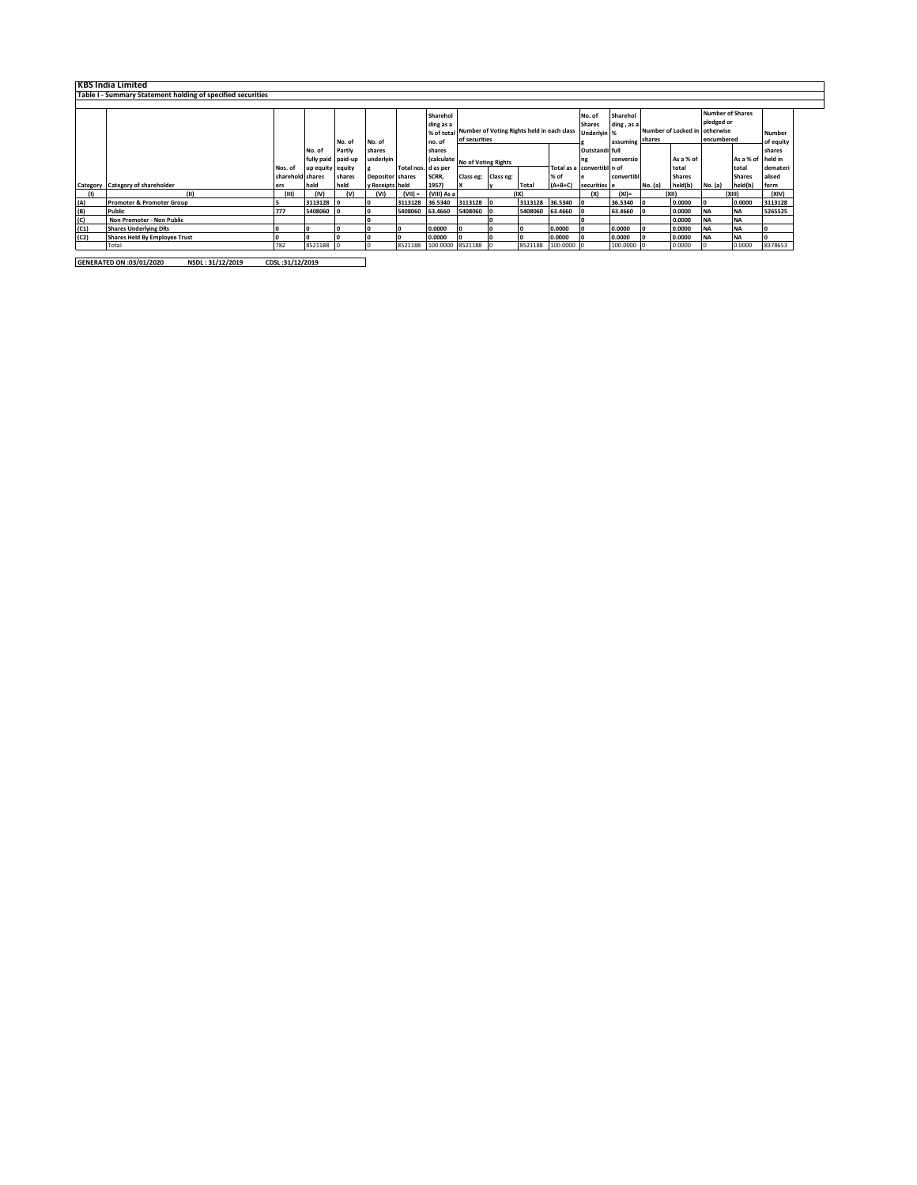|      | <b>KBS India Limited</b>                                    |                  |                    |        |                         |                     |                  |                                                       |   |         |                |                            |                     |           |               |                   |               |          |
|------|-------------------------------------------------------------|------------------|--------------------|--------|-------------------------|---------------------|------------------|-------------------------------------------------------|---|---------|----------------|----------------------------|---------------------|-----------|---------------|-------------------|---------------|----------|
|      | Table I - Summary Statement holding of specified securities |                  |                    |        |                         |                     |                  |                                                       |   |         |                |                            |                     |           |               |                   |               |          |
|      |                                                             |                  |                    |        |                         |                     |                  |                                                       |   |         |                |                            |                     |           |               |                   |               |          |
|      |                                                             |                  |                    |        |                         |                     | Sharehol         | <b>Number of Shares</b><br>Sharehol<br>No. of         |   |         |                |                            |                     |           |               |                   |               |          |
|      |                                                             |                  |                    |        |                         |                     | ding as a        |                                                       |   |         |                | <b>Shares</b>              | ding, as a          |           |               | pledged or        |               |          |
|      |                                                             |                  |                    |        |                         |                     |                  | % of total Number of Voting Rights held in each class |   |         | Underlyin %    |                            | Number of Locked in |           | otherwise     |                   | Number        |          |
|      |                                                             |                  |                    | No. of | No. of                  |                     | no. of           | of securities                                         |   |         |                | assuming                   | shares              |           | encumbered    |                   | of equity     |          |
|      |                                                             |                  | No. of             | Partly | shares                  |                     | shares           |                                                       |   |         | Outstandi full |                            |                     |           |               |                   | shares        |          |
|      |                                                             |                  | fully paid paid-up |        | underlyin               |                     |                  | (calculate No of Voting Rights                        |   |         | ng             | conversio                  |                     | As a % of |               | As a % of held in |               |          |
|      |                                                             | Nos. of          | up equity equity   |        |                         | Total nos. d as per |                  |                                                       |   |         |                | Total as a convertibl n of |                     |           | total         |                   | total         | demateri |
|      |                                                             | sharehold shares |                    | shares | <b>Depositor</b> shares |                     | SCRR,            | Class eg: Class eg:                                   |   |         | % of           |                            | convertib           |           | <b>Shares</b> |                   | <b>Shares</b> | alised   |
|      | Category Category of shareholder                            | ers              | held               | held   | y Receipts held         |                     | 1957)            |                                                       | v | Total   | $(A+B+C)$      | securities e               |                     | No. (a)   | held(b)       | No. (a)           | held(b)       | form     |
|      |                                                             | (III)            | (IV)               | (v)    | (VI)                    | $(VII) =$           | (VIII) As a      |                                                       |   | (IX)    |                | (X)                        | $(XI)$ =            |           | (X  )         |                   | (XIII)        | (XIV)    |
| (A)  | <b>Promoter &amp; Promoter Group</b>                        |                  | 3113128            |        |                         | 3113128             | 36.5340          | 3113128 0                                             |   | 3113128 | 36.5340        |                            | 36.5340             |           | 0.0000        | 10                | 0.0000        | 3113128  |
| (B)  | Public                                                      | 777              | 5408060            |        |                         | 5408060             | 63,4660          | 5408060                                               |   | 5408060 | 63.4660        |                            | 63.4660             |           | 0.0000        | <b>NA</b>         | <b>NA</b>     | 5265525  |
| (C)  | Non Promoter - Non Public                                   |                  |                    |        |                         |                     |                  |                                                       |   |         |                |                            |                     |           | 0.0000        | <b>NA</b>         | <b>NA</b>     |          |
| (C1) | <b>Shares Underlying DRs</b>                                |                  | I٥                 |        |                         |                     | 0.0000           |                                                       |   | ۱о      | 0.0000         |                            | 0.0000              |           | 0.0000        | <b>NA</b>         | <b>NA</b>     |          |
| (C2) | <b>Shares Held By Employee Trust</b>                        |                  | 10                 |        |                         |                     | 0.0000           |                                                       |   | ۱о      | 0.0000         |                            | 0.0000              |           | 0.0000        | <b>INA</b>        | <b>NA</b>     |          |
|      | Total                                                       | 782              | 8521188            |        |                         | 8521188             | 100.0000 8521188 |                                                       |   | 8521188 | 100.0000 0     |                            | 100.0000 0          |           | 0.0000        |                   | 0.0000        | 8378653  |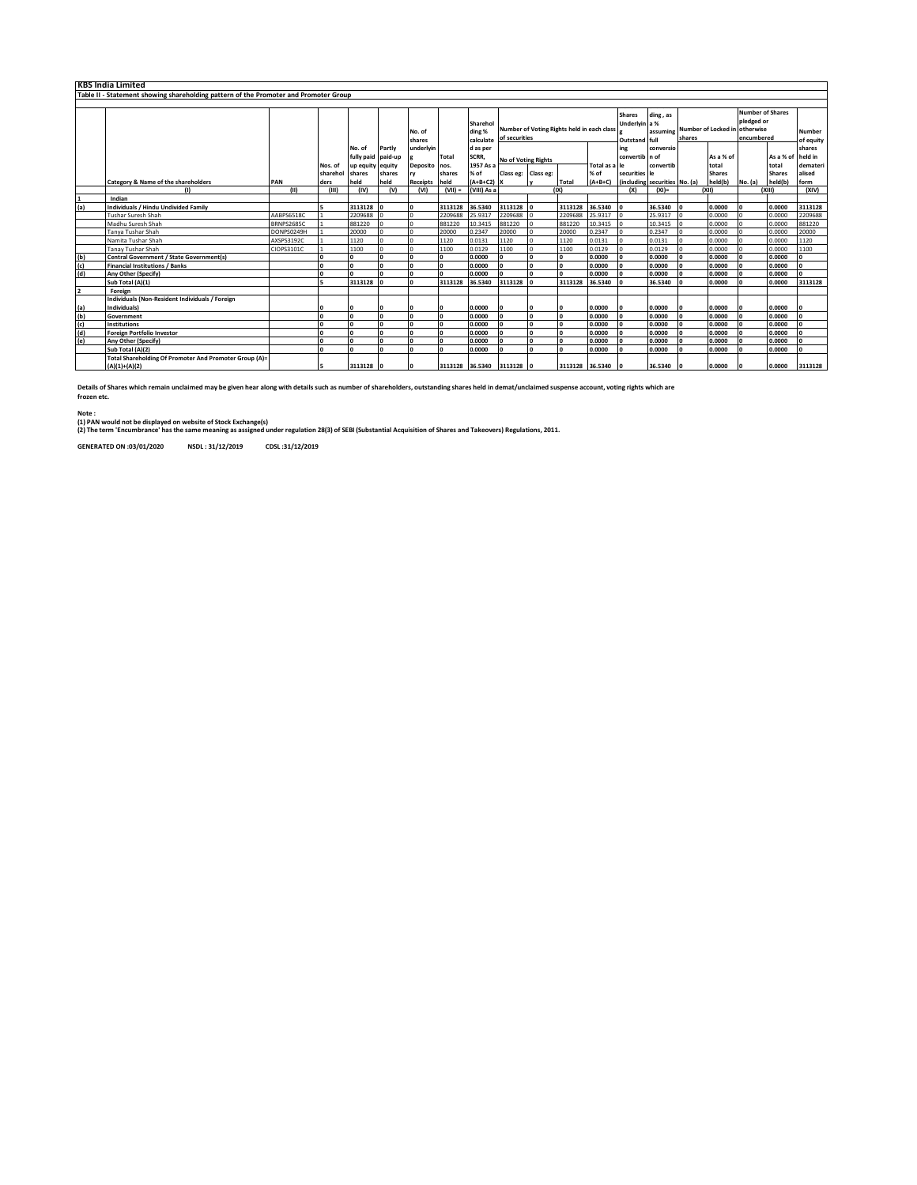|     | <b>KBS India Limited</b>                                                             |            |            |                  |         |                  |              |                                 |                                                             |              |                 |               |                                                 |                               |        |               |                                                                                      |               |                            |
|-----|--------------------------------------------------------------------------------------|------------|------------|------------------|---------|------------------|--------------|---------------------------------|-------------------------------------------------------------|--------------|-----------------|---------------|-------------------------------------------------|-------------------------------|--------|---------------|--------------------------------------------------------------------------------------|---------------|----------------------------|
|     | Table II - Statement showing shareholding pattern of the Promoter and Promoter Group |            |            |                  |         |                  |              |                                 |                                                             |              |                 |               |                                                 |                               |        |               |                                                                                      |               |                            |
|     |                                                                                      |            |            |                  |         |                  |              |                                 |                                                             |              |                 |               |                                                 |                               |        |               |                                                                                      |               |                            |
|     |                                                                                      |            |            |                  |         | No. of<br>shares |              | Sharehol<br>ding %<br>calculate | Number of Voting Rights held in each class<br>of securities |              |                 |               | <b>Shares</b><br>Underlyin a %<br>Outstand full | ding, as<br>assuming          | shares |               | <b>Number of Shares</b><br>pledged or<br>Number of Locked in otherwise<br>encumbered |               | <b>Number</b><br>of equity |
|     |                                                                                      |            |            | No. of           | Partly  | underlyin        |              | d as per                        |                                                             |              |                 |               | ing                                             | conversio                     |        |               |                                                                                      |               | shares                     |
|     |                                                                                      |            |            | fully paid       | paid-up |                  | Total        | SCRR,                           | No of Voting Rights                                         |              |                 |               | convertib in of                                 |                               |        | As a % of     |                                                                                      | As a % of     | held in                    |
|     |                                                                                      |            | Nos. of    | up equity equity |         | Deposito nos.    |              | 1957 As a                       |                                                             |              |                 | Total as a le |                                                 | convertib                     |        | total         |                                                                                      | total         | demateri                   |
|     |                                                                                      |            | sharehol   | shares           | shares  |                  | shares       | % of                            | Class eg: Class eg:                                         |              |                 | % of          | securities le                                   |                               |        | <b>Shares</b> |                                                                                      | <b>Shares</b> | alised                     |
|     | <b>Category &amp; Name of the shareholders</b>                                       | PAN        | ders       | held             | held    | Receipts held    |              | $(A+B+C2)$ X                    |                                                             |              | Total           | $(A+B+C)$     |                                                 | (including securities No. (a) |        | held(b)       | No. (a)                                                                              | held(b)       | form                       |
|     | $\mathbf{u}$                                                                         | (11)       | (III)      | (IV)             | (v)     | (VI)             | $(VII) =$    | (VIII) As a                     |                                                             |              | (1)             |               | (X)                                             | $(XI) =$                      |        | (X  )         |                                                                                      | (X  )         | (XIV)                      |
| (a) | Indian<br><b>Individuals / Hindu Undivided Family</b>                                |            |            | 3113128          |         |                  | 3113128      | 36.5340                         | 3113128                                                     |              | 3113128         | 36.5340       |                                                 | 36.5340                       |        | 0.0000        |                                                                                      | 0.0000        | 3113128                    |
|     | <b>Tushar Suresh Shah</b>                                                            | AABPS6518C |            | 2209688          |         |                  | 2209688      | 25.9317                         | 2209688                                                     |              | 2209688         | 25.9317       |                                                 | 25.9317                       |        | 0.0000        |                                                                                      | 0.0000        | 2209688                    |
|     | Madhu Suresh Shah                                                                    | BRNPS2685C |            | 881220           |         |                  | 881220       | 10.3415                         | 881220                                                      |              | 881220          | 10.3415       |                                                 | 10.3415                       |        | 0.0000        |                                                                                      | 0.0000        | 881220                     |
|     | Tanya Tushar Shah                                                                    | DONPS0249H |            | 20000            |         |                  | 20000        | 0.2347                          | 20000                                                       |              | 20000           | 0.2347        |                                                 | 0.2347                        |        | 0.0000        |                                                                                      | 0.0000        | 20000                      |
|     | Namita Tushar Shah                                                                   | AXSPS3192C |            | 1120             |         |                  | 1120         | 0.0131                          | 1120                                                        |              | 1120            | 0.0131        |                                                 | 0.0131                        |        | 0.0000        |                                                                                      | 0.0000        | 1120                       |
|     | Tanay Tushar Shah                                                                    | CIOPS3101C |            | 1100             |         |                  | 1100         | 0.0129                          | 1100                                                        | $\Omega$     | 1100            | 0.0129        |                                                 | 0.0129                        |        | 0.0000        |                                                                                      | 0.0000        | 1100                       |
| (b) | <b>Central Government / State Government(s)</b>                                      |            |            |                  |         |                  | I٥           | 0.0000                          | I٥                                                          | $\mathbf{a}$ | n               | 0.0000        |                                                 | 0.0000                        |        | 0.0000        |                                                                                      | 0.0000        | I٥                         |
| (c) | <b>Financial Institutions / Banks</b>                                                |            | n          |                  |         |                  | $\mathbf{0}$ | 0.0000                          | I٥                                                          | $\Omega$     |                 | 0.0000        |                                                 | 0.0000                        |        | 0.0000        |                                                                                      | 0.0000        | $\mathbf{0}$               |
| (d) | Any Other (Specify)                                                                  |            |            |                  |         |                  | I٥           | 0.0000                          | l n                                                         | n            |                 | 0.0000        |                                                 | 0.0000                        |        | 0.0000        |                                                                                      | 0.0000        | o                          |
|     | Sub Total (A)(1)                                                                     |            |            | 3113128          |         | $\sqrt{2}$       | 3113128      | 36.5340                         | 3113128                                                     |              | 3113128         | 36.5340       |                                                 | 36.5340                       |        | 0.0000        |                                                                                      | 0.0000        | 3113128                    |
| 2   | Foreign                                                                              |            |            |                  |         |                  |              |                                 |                                                             |              |                 |               |                                                 |                               |        |               |                                                                                      |               |                            |
|     | Individuals (Non-Resident Individuals / Foreign                                      |            |            |                  |         |                  |              |                                 |                                                             |              |                 |               |                                                 |                               |        |               |                                                                                      |               |                            |
| (a) | Individuals)                                                                         |            |            |                  |         |                  | I٥           | 0.0000                          |                                                             | o            |                 | 0.0000        |                                                 | 0.0000                        |        | 0.0000        |                                                                                      | 0.0000        |                            |
| (b) | Government                                                                           |            | n          |                  |         |                  | I٥           | 0.0000                          | l n                                                         | $\mathbf{r}$ |                 | 0.0000        |                                                 | 0.0000                        |        | 0.0000        |                                                                                      | 0.0000        | <b>O</b>                   |
| (c) | <b>Institutions</b>                                                                  |            | $\sqrt{2}$ |                  |         |                  | I٥           | 0.0000                          |                                                             | $\mathbf{a}$ |                 | 0.0000        |                                                 | 0.0000                        |        | 0.0000        |                                                                                      | 0.0000        | l o                        |
| (d) | <b>Foreign Portfolio Investor</b>                                                    |            | n          |                  |         |                  | I٥           | 0.0000                          | I٥                                                          | $\Omega$     |                 | 0.0000        |                                                 | 0.0000                        |        | 0.0000        |                                                                                      | 0.0000        | I٥                         |
| (e) | Any Other (Specify)                                                                  |            | n          |                  |         |                  | I٥           | 0.0000                          | I۵                                                          |              |                 | 0.0000        |                                                 | 0.0000                        |        | 0.0000        |                                                                                      | 0.0000        | I٥                         |
|     | Sub Total (A)(2)                                                                     |            | n          |                  |         |                  | $\mathbf{0}$ | 0.0000                          | I٥                                                          |              |                 | 0.0000        |                                                 | 0.0000                        |        | 0.0000        |                                                                                      | 0.0000        | I٥                         |
|     | Total Shareholding Of Promoter And Promoter Group (A)=                               |            |            |                  |         |                  |              |                                 |                                                             |              |                 |               |                                                 |                               |        |               |                                                                                      |               |                            |
|     | $(A)(1)+(A)(2)$                                                                      |            |            | 3113128          |         | o                |              | 3113128 36.5340 3113128         |                                                             |              | 3113128 36.5340 |               |                                                 | 36.5340                       |        | 0.0000        |                                                                                      | 0.0000        | 3113128                    |

**Details of Shares which remain unclaimed may be given hear along with details such as number of shareholders, outstanding shares held in demat/unclaimed suspense account, voting rights which are frozen etc.**

**Note :**

(1) PAN would not be displayed on website of Stock Exchange(s)<br>(2) The term 'Encumbrance' has the same meaning as assigned under regulation 28(3) of SEBI (Substantial Acquisition of Shares and Takeovers) Regulations, 2011.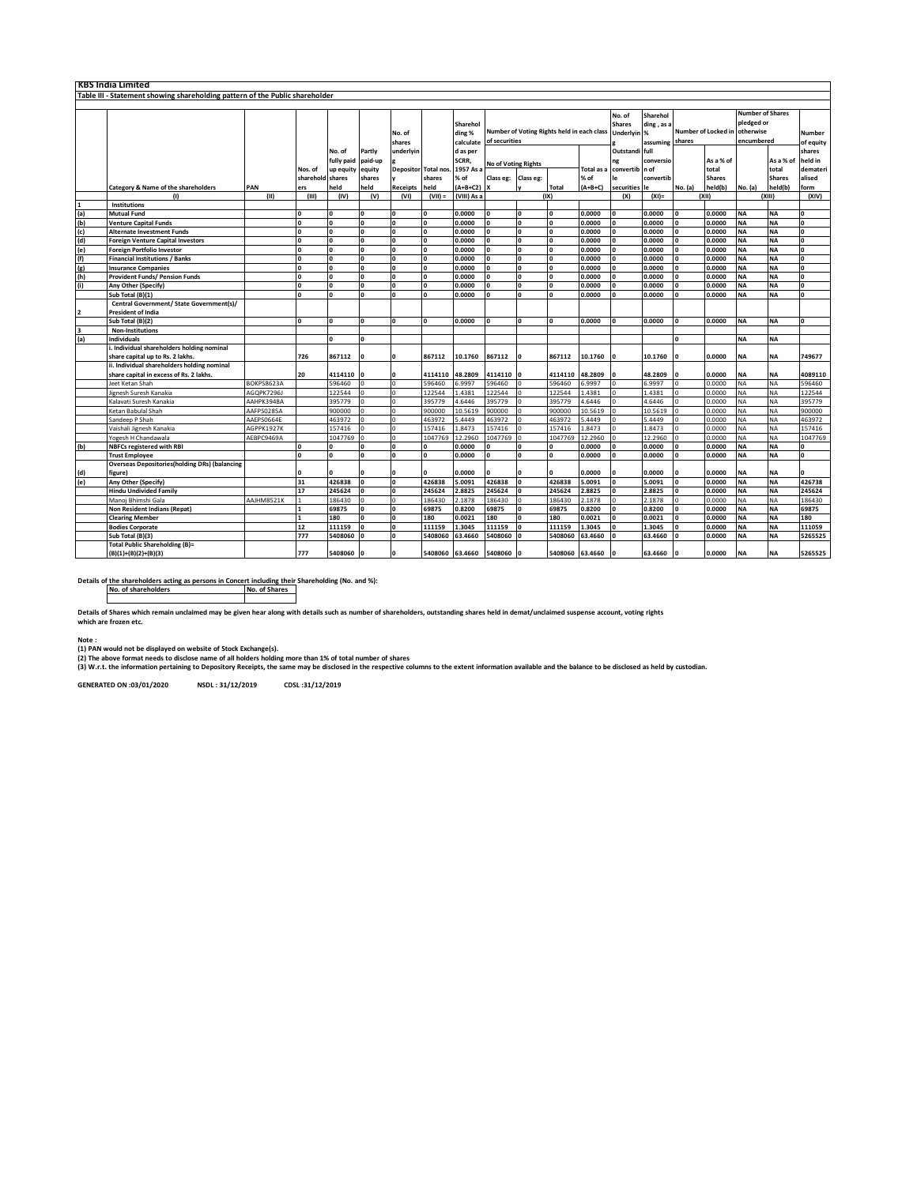| Table III - Statement showing shareholding pattern of the Public shareholder<br><b>Number of Shares</b><br>No. of<br>Sharehol<br>pledged or<br><b>Shares</b><br>ding, as a<br>Sharehol<br>Number of Voting Rights held in each class<br>Number of Locked in<br>otherwise<br>Underlyin %<br>ding %<br>No. of<br>of securities<br>encumbered<br>shares<br>calculate<br>shares<br>assuming<br>Outstandi full<br>No. of<br>Partly<br>underlyin<br>d as per<br>shares<br>SCRR,<br>fully paid<br>As a % of<br>paid-up<br>conversio<br>As a % of<br>held in<br>ng<br>No of Voting Rights<br>1957 As<br>total<br>up equity<br>equity<br><b>Depositor Total nos</b><br><b>Total as</b><br>convertib n of<br>total<br>Nos. of<br>sharehold shares<br>shares<br>shares<br>% of<br>convertib<br><b>Shares</b><br><b>Shares</b><br>alised<br>% of<br>Class eg:<br>Class eg:<br>le<br>Category & Name of the shareholders<br>PAN<br>held<br>held<br>Receipts<br>held<br>$(A+B+C2)$<br>$(A+B+C)$<br>securities<br>No. (a)<br>held(b)<br>No. (a)<br>held(b)<br><b>Total</b><br>form<br>ers<br><b>le</b><br>(VI)<br>(VIII) As a<br>(IX)<br>(XIII)<br>(11)<br>(III)<br>(IV)<br>(V)<br>$(VII) =$<br>(X)<br>$(XI) =$<br>(XII)<br>$\omega$<br><b>Institutions</b><br>(a)<br>(b)<br>(c)<br><b>O</b><br>0.0000<br><b>NA</b><br><b>NA</b><br><b>Mutual Fund</b><br>l o<br>$\Omega$<br>0.0000<br>O<br>0.0000<br>0.0000<br>n<br>$\Omega$<br>0<br>O<br><b>NA</b><br><b>Venture Capital Funds</b><br>I٥<br>$\Omega$<br>0.0000<br>0<br>0.0000<br>0.0000<br>0.0000<br><b>NA</b><br>0<br>$\mathbf 0$<br>$\Omega$<br>O<br>$\Omega$<br>O<br>0.0000<br><b>NA</b><br><b>NA</b><br>o<br>$\Omega$<br><b>n</b><br>0.0000<br>$\mathbf{0}$<br>0.0000<br>0.0000<br><b>Alternate Investment Funds</b><br>I٥<br>n<br>(d)<br>(e)<br>O<br>0.0000<br>O<br>0.0000<br>0.0000<br>0.0000<br><b>NA</b><br><b>NA</b><br>$\Omega$<br>I٥<br>n<br>$\mathbf{o}$<br><b>n</b><br><b>Foreign Venture Capital Investors</b><br><b>NA</b><br>O<br>O<br>0.0000<br>0.0000<br><b>NA</b><br><b>Foreign Portfolio Investor</b><br>I٥<br>$\Omega$<br>I٥<br>0.0000<br>0.0000<br>$\Omega$<br>$\sqrt{2}$<br>n<br>$\Omega$<br>$\frac{f(t)}{g(t)}$<br>$\frac{f(t)}{f(t)}$<br>o<br>$\overline{\mathbf{0}}$<br>o<br>0.0000<br><b>NA</b><br><b>NA</b><br>$\overline{\mathbf{0}}$<br><b>Financial Institutions / Banks</b><br>I٥<br>0.0000<br>$\mathbf 0$<br>0.0000<br>0.0000<br>O<br>$\Omega$<br>0<br><b>NA</b><br><b>NA</b><br>I٥<br>$\Omega$<br>0.0000<br>$\Omega$<br>0.0000<br>0.0000<br>0.0000<br>0<br><b>Insurance Companies</b><br>n<br>$\mathbf 0$<br>$\Omega$<br>0.0000<br><b>NA</b><br><b>NA</b><br>l o<br>$\Omega$<br>$\mathbf{o}$<br>0.0000<br>O<br>0.0000<br>0.0000<br>O<br>Provident Funds/ Pension Funds<br><b>NA</b><br><b>NA</b><br>O<br>0.0000<br>O<br>0.0000<br>0.0000<br>0.0000<br>0<br>Any Other (Specify)<br>l o<br><b>n</b><br>n<br>$\mathbf{o}$<br><b>n</b><br>$\Omega$<br>l o<br>$\Omega$<br>$\Omega$<br>0.0000<br>0<br>0.0000<br><b>NA</b><br><b>NA</b><br>0<br>Sub Total (B)(1)<br>n<br>$\Omega$<br>0.0000<br>0.0000<br>n<br>Central Government/ State Government(s)/<br><b>President of India</b><br>$\overline{\mathbf{z}}$<br>0.0000<br><b>NA</b><br>Sub Total (B)(2)<br>O<br>0.0000<br>$\Omega$<br>0.0000<br>0.0000<br><b>NA</b><br>I٥<br>n<br>n<br>$\mathbf 0$<br>$\Omega$<br><b>Non-Institutions</b><br>(a)<br><b>NA</b><br><b>NA</b><br><b>Individuals</b><br>$\Omega$<br>n<br>. Individual shareholders holding nominal<br>726<br>0.0000<br><b>NA</b><br>share capital up to Rs. 2 lakhs.<br>867112<br>867112<br>10.1760<br>867112<br>867112<br>10.1760<br>10.1760<br><b>NA</b><br>749677<br>$\Omega$<br>$\mathbf 0$<br>ii. Individual shareholders holding nominal<br>20<br>0.0000<br><b>NA</b><br>share capital in excess of Rs. 2 lakhs.<br>4114110<br>4114110<br>48.2809<br>4114110<br>4114110<br>48.2809<br>48.2809<br><b>NA</b><br>4089110<br>596460<br>6.9997<br>6.9997<br><b>NA</b><br><b>NA</b><br><b>BOKPS8623A</b><br>596460<br>596460<br>6.9997<br>596460<br>0.0000<br>596460<br>Jeet Ketan Shah<br>122544<br>122544<br>1.4381<br>122544<br>122544<br>1.4381<br>0.0000<br><b>NA</b><br><b>NA</b><br>122544<br>AGOPK7296J<br>Ò<br>.4381<br>Jignesh Suresh Kanakia<br>$\Omega$<br>395779<br>1.6446<br><b>NA</b><br>AAHPK3948A<br>395779<br>395779<br>4.6446<br>395779<br>4.6446<br>0.0000<br><b>NA</b><br>395779<br>Kalavati Suresh Kanakia<br>$\Omega$<br>$\Omega$<br>900000<br>10.5619<br><b>NA</b><br>AAFPS0285A<br>900000<br>900000<br>10.5619<br>900000<br>10.5619<br>0.0000<br><b>NA</b><br>900000<br>Ketan Babulal Shah<br>$\Omega$<br>$\Omega$<br>463972<br>5.4449<br><b>NA</b><br><b>NA</b><br>463972<br>463972<br>5.4449<br>463972<br>5.4449<br>0.0000<br>463972<br>Sandeep P Shah<br>AAEPS0664E<br><b>NA</b><br>AGPPK1927K<br>157416<br>157416<br>1.8473<br>157416<br>157416<br>1.8473<br>1.8473<br>0.0000<br><b>NA</b><br>157416<br>Vaishali Jignesh Kanakia<br>$\Omega$<br>1047769<br>1047769<br>12.2960<br>12.2960<br>0.0000<br>NA<br><b>NA</b><br>Yogesh H Chandawala<br>AEBPC9469A<br>1047769<br>$\Omega$<br>$\Omega$<br>12.2960<br>1047769<br>1047769<br>(b)<br>0.0000<br>0.0000<br><b>NA</b><br><b>NA</b><br><b>NBFCs registered with RBI</b><br>I٥<br>$\Omega$<br>O<br>$\mathbf{o}$<br>0.0000<br>0.0000<br>0<br>$\Omega$<br>$\mathbf 0$<br>$\Omega$<br>n<br><b>NA</b><br><b>NA</b><br>$\overline{0}$<br>0.0000<br>0.0000<br>0.0000<br>0.0000<br>$\overline{0}$<br>I٥<br>$\mathbf{o}$<br>$\Omega$<br><b>Trust Employee</b><br>$\Omega$<br>$\Omega$<br><b>Overseas Depositories(holding DRs) (balancing</b><br>0.0000<br>0.0000<br><b>NA</b><br>$\frac{d}{d}$<br>figure)<br>l O<br>$\mathbf 0$<br>0.0000<br>0.0000<br><b>NA</b><br>n<br><b>O</b><br>O<br>$\Omega$<br>$\Omega$<br>O<br><b>NA</b><br>31<br>426838<br>O<br>0<br>426838<br>5.0091<br>426838<br>I٥<br>426838<br>5.0091<br>5.0091<br>$\mathbf 0$<br>0.0000<br><b>NA</b><br>426738<br>Any Other (Specify)<br>$\Omega$<br>245624<br>2.8825<br>2.8825<br><b>NA</b><br><b>NA</b><br>17<br>245624<br>245624<br>2.8825<br>245624<br>0.0000<br>245624<br><b>Hindu Undivided Family</b><br>$\Omega$<br>n<br>n<br>186430<br>186430<br>2.1878<br>186430<br>186430<br>2.1878<br>2.1878<br>0.0000<br><b>NA</b><br><b>NA</b><br>186430<br>AAJHM8521K<br>$\Omega$<br>Manoj Bhimshi Gala<br><b>NA</b><br><b>NA</b><br>Non Resident Indians (Repat)<br>69875<br>0<br>69875<br>0.8200<br>69875<br>69875<br>0.8200<br>0.8200<br>0.0000<br>69875<br>1<br>$\mathbf 0$<br>$\mathbf 0$<br>n<br>0.0021<br><b>NA</b><br><b>NA</b><br>180<br>$\Omega$<br>180<br>0.0021<br>180<br>0<br>180<br>0.0021<br>0.0000<br>180<br>$\mathbf{1}$<br>0<br>0 | <b>KBS India Limited</b> |  |  |  |  |  |  |  |  |  |  |  |  |  |  |  |                     |          |
|-------------------------------------------------------------------------------------------------------------------------------------------------------------------------------------------------------------------------------------------------------------------------------------------------------------------------------------------------------------------------------------------------------------------------------------------------------------------------------------------------------------------------------------------------------------------------------------------------------------------------------------------------------------------------------------------------------------------------------------------------------------------------------------------------------------------------------------------------------------------------------------------------------------------------------------------------------------------------------------------------------------------------------------------------------------------------------------------------------------------------------------------------------------------------------------------------------------------------------------------------------------------------------------------------------------------------------------------------------------------------------------------------------------------------------------------------------------------------------------------------------------------------------------------------------------------------------------------------------------------------------------------------------------------------------------------------------------------------------------------------------------------------------------------------------------------------------------------------------------------------------------------------------------------------------------------------------------------------------------------------------------------------------------------------------------------------------------------------------------------------------------------------------------------------------------------------------------------------------------------------------------------------------------------------------------------------------------------------------------------------------------------------------------------------------------------------------------------------------------------------------------------------------------------------------------------------------------------------------------------------------------------------------------------------------------------------------------------------------------------------------------------------------------------------------------------------------------------------------------------------------------------------------------------------------------------------------------------------------------------------------------------------------------------------------------------------------------------------------------------------------------------------------------------------------------------------------------------------------------------------------------------------------------------------------------------------------------------------------------------------------------------------------------------------------------------------------------------------------------------------------------------------------------------------------------------------------------------------------------------------------------------------------------------------------------------------------------------------------------------------------------------------------------------------------------------------------------------------------------------------------------------------------------------------------------------------------------------------------------------------------------------------------------------------------------------------------------------------------------------------------------------------------------------------------------------------------------------------------------------------------------------------------------------------------------------------------------------------------------------------------------------------------------------------------------------------------------------------------------------------------------------------------------------------------------------------------------------------------------------------------------------------------------------------------------------------------------------------------------------------------------------------------------------------------------------------------------------------------------------------------------------------------------------------------------------------------------------------------------------------------------------------------------------------------------------------------------------------------------------------------------------------------------------------------------------------------------------------------------------------------------------------------------------------------------------------------------------------------------------------------------------------------------------------------------------------------------------------------------------------------------------------------------------------------------------------------------------------------------------------------------------------------------------------------------------------------------------------------------------------------------------------------------------------------------------------------------------------------------------------------------------------------------------------------------------------------------------------------------------------------------------------------------------------------------------------------------------------------------------------------------------------------------------------------------------------------------------------------------------------------------------------------------------------------------------------------------------------------------------------------------------------------------------------------------------------------------------------------------------------------------------------------------------------------------------------------------------------------------------------------------------------------------------|--------------------------|--|--|--|--|--|--|--|--|--|--|--|--|--|--|--|---------------------|----------|
|                                                                                                                                                                                                                                                                                                                                                                                                                                                                                                                                                                                                                                                                                                                                                                                                                                                                                                                                                                                                                                                                                                                                                                                                                                                                                                                                                                                                                                                                                                                                                                                                                                                                                                                                                                                                                                                                                                                                                                                                                                                                                                                                                                                                                                                                                                                                                                                                                                                                                                                                                                                                                                                                                                                                                                                                                                                                                                                                                                                                                                                                                                                                                                                                                                                                                                                                                                                                                                                                                                                                                                                                                                                                                                                                                                                                                                                                                                                                                                                                                                                                                                                                                                                                                                                                                                                                                                                                                                                                                                                                                                                                                                                                                                                                                                                                                                                                                                                                                                                                                                                                                                                                                                                                                                                                                                                                                                                                                                                                                                                                                                                                                                                                                                                                                                                                                                                                                                                                                                                                                                                                                                                                                                                                                                                                                                                                                                                                                                                                                                                                                                                                                                                                   |                          |  |  |  |  |  |  |  |  |  |  |  |  |  |  |  |                     |          |
|                                                                                                                                                                                                                                                                                                                                                                                                                                                                                                                                                                                                                                                                                                                                                                                                                                                                                                                                                                                                                                                                                                                                                                                                                                                                                                                                                                                                                                                                                                                                                                                                                                                                                                                                                                                                                                                                                                                                                                                                                                                                                                                                                                                                                                                                                                                                                                                                                                                                                                                                                                                                                                                                                                                                                                                                                                                                                                                                                                                                                                                                                                                                                                                                                                                                                                                                                                                                                                                                                                                                                                                                                                                                                                                                                                                                                                                                                                                                                                                                                                                                                                                                                                                                                                                                                                                                                                                                                                                                                                                                                                                                                                                                                                                                                                                                                                                                                                                                                                                                                                                                                                                                                                                                                                                                                                                                                                                                                                                                                                                                                                                                                                                                                                                                                                                                                                                                                                                                                                                                                                                                                                                                                                                                                                                                                                                                                                                                                                                                                                                                                                                                                                                                   |                          |  |  |  |  |  |  |  |  |  |  |  |  |  |  |  |                     |          |
|                                                                                                                                                                                                                                                                                                                                                                                                                                                                                                                                                                                                                                                                                                                                                                                                                                                                                                                                                                                                                                                                                                                                                                                                                                                                                                                                                                                                                                                                                                                                                                                                                                                                                                                                                                                                                                                                                                                                                                                                                                                                                                                                                                                                                                                                                                                                                                                                                                                                                                                                                                                                                                                                                                                                                                                                                                                                                                                                                                                                                                                                                                                                                                                                                                                                                                                                                                                                                                                                                                                                                                                                                                                                                                                                                                                                                                                                                                                                                                                                                                                                                                                                                                                                                                                                                                                                                                                                                                                                                                                                                                                                                                                                                                                                                                                                                                                                                                                                                                                                                                                                                                                                                                                                                                                                                                                                                                                                                                                                                                                                                                                                                                                                                                                                                                                                                                                                                                                                                                                                                                                                                                                                                                                                                                                                                                                                                                                                                                                                                                                                                                                                                                                                   |                          |  |  |  |  |  |  |  |  |  |  |  |  |  |  |  | Number<br>of equity |          |
|                                                                                                                                                                                                                                                                                                                                                                                                                                                                                                                                                                                                                                                                                                                                                                                                                                                                                                                                                                                                                                                                                                                                                                                                                                                                                                                                                                                                                                                                                                                                                                                                                                                                                                                                                                                                                                                                                                                                                                                                                                                                                                                                                                                                                                                                                                                                                                                                                                                                                                                                                                                                                                                                                                                                                                                                                                                                                                                                                                                                                                                                                                                                                                                                                                                                                                                                                                                                                                                                                                                                                                                                                                                                                                                                                                                                                                                                                                                                                                                                                                                                                                                                                                                                                                                                                                                                                                                                                                                                                                                                                                                                                                                                                                                                                                                                                                                                                                                                                                                                                                                                                                                                                                                                                                                                                                                                                                                                                                                                                                                                                                                                                                                                                                                                                                                                                                                                                                                                                                                                                                                                                                                                                                                                                                                                                                                                                                                                                                                                                                                                                                                                                                                                   |                          |  |  |  |  |  |  |  |  |  |  |  |  |  |  |  |                     |          |
|                                                                                                                                                                                                                                                                                                                                                                                                                                                                                                                                                                                                                                                                                                                                                                                                                                                                                                                                                                                                                                                                                                                                                                                                                                                                                                                                                                                                                                                                                                                                                                                                                                                                                                                                                                                                                                                                                                                                                                                                                                                                                                                                                                                                                                                                                                                                                                                                                                                                                                                                                                                                                                                                                                                                                                                                                                                                                                                                                                                                                                                                                                                                                                                                                                                                                                                                                                                                                                                                                                                                                                                                                                                                                                                                                                                                                                                                                                                                                                                                                                                                                                                                                                                                                                                                                                                                                                                                                                                                                                                                                                                                                                                                                                                                                                                                                                                                                                                                                                                                                                                                                                                                                                                                                                                                                                                                                                                                                                                                                                                                                                                                                                                                                                                                                                                                                                                                                                                                                                                                                                                                                                                                                                                                                                                                                                                                                                                                                                                                                                                                                                                                                                                                   |                          |  |  |  |  |  |  |  |  |  |  |  |  |  |  |  |                     |          |
|                                                                                                                                                                                                                                                                                                                                                                                                                                                                                                                                                                                                                                                                                                                                                                                                                                                                                                                                                                                                                                                                                                                                                                                                                                                                                                                                                                                                                                                                                                                                                                                                                                                                                                                                                                                                                                                                                                                                                                                                                                                                                                                                                                                                                                                                                                                                                                                                                                                                                                                                                                                                                                                                                                                                                                                                                                                                                                                                                                                                                                                                                                                                                                                                                                                                                                                                                                                                                                                                                                                                                                                                                                                                                                                                                                                                                                                                                                                                                                                                                                                                                                                                                                                                                                                                                                                                                                                                                                                                                                                                                                                                                                                                                                                                                                                                                                                                                                                                                                                                                                                                                                                                                                                                                                                                                                                                                                                                                                                                                                                                                                                                                                                                                                                                                                                                                                                                                                                                                                                                                                                                                                                                                                                                                                                                                                                                                                                                                                                                                                                                                                                                                                                                   |                          |  |  |  |  |  |  |  |  |  |  |  |  |  |  |  |                     | demateri |
|                                                                                                                                                                                                                                                                                                                                                                                                                                                                                                                                                                                                                                                                                                                                                                                                                                                                                                                                                                                                                                                                                                                                                                                                                                                                                                                                                                                                                                                                                                                                                                                                                                                                                                                                                                                                                                                                                                                                                                                                                                                                                                                                                                                                                                                                                                                                                                                                                                                                                                                                                                                                                                                                                                                                                                                                                                                                                                                                                                                                                                                                                                                                                                                                                                                                                                                                                                                                                                                                                                                                                                                                                                                                                                                                                                                                                                                                                                                                                                                                                                                                                                                                                                                                                                                                                                                                                                                                                                                                                                                                                                                                                                                                                                                                                                                                                                                                                                                                                                                                                                                                                                                                                                                                                                                                                                                                                                                                                                                                                                                                                                                                                                                                                                                                                                                                                                                                                                                                                                                                                                                                                                                                                                                                                                                                                                                                                                                                                                                                                                                                                                                                                                                                   |                          |  |  |  |  |  |  |  |  |  |  |  |  |  |  |  |                     |          |
|                                                                                                                                                                                                                                                                                                                                                                                                                                                                                                                                                                                                                                                                                                                                                                                                                                                                                                                                                                                                                                                                                                                                                                                                                                                                                                                                                                                                                                                                                                                                                                                                                                                                                                                                                                                                                                                                                                                                                                                                                                                                                                                                                                                                                                                                                                                                                                                                                                                                                                                                                                                                                                                                                                                                                                                                                                                                                                                                                                                                                                                                                                                                                                                                                                                                                                                                                                                                                                                                                                                                                                                                                                                                                                                                                                                                                                                                                                                                                                                                                                                                                                                                                                                                                                                                                                                                                                                                                                                                                                                                                                                                                                                                                                                                                                                                                                                                                                                                                                                                                                                                                                                                                                                                                                                                                                                                                                                                                                                                                                                                                                                                                                                                                                                                                                                                                                                                                                                                                                                                                                                                                                                                                                                                                                                                                                                                                                                                                                                                                                                                                                                                                                                                   |                          |  |  |  |  |  |  |  |  |  |  |  |  |  |  |  |                     |          |
|                                                                                                                                                                                                                                                                                                                                                                                                                                                                                                                                                                                                                                                                                                                                                                                                                                                                                                                                                                                                                                                                                                                                                                                                                                                                                                                                                                                                                                                                                                                                                                                                                                                                                                                                                                                                                                                                                                                                                                                                                                                                                                                                                                                                                                                                                                                                                                                                                                                                                                                                                                                                                                                                                                                                                                                                                                                                                                                                                                                                                                                                                                                                                                                                                                                                                                                                                                                                                                                                                                                                                                                                                                                                                                                                                                                                                                                                                                                                                                                                                                                                                                                                                                                                                                                                                                                                                                                                                                                                                                                                                                                                                                                                                                                                                                                                                                                                                                                                                                                                                                                                                                                                                                                                                                                                                                                                                                                                                                                                                                                                                                                                                                                                                                                                                                                                                                                                                                                                                                                                                                                                                                                                                                                                                                                                                                                                                                                                                                                                                                                                                                                                                                                                   |                          |  |  |  |  |  |  |  |  |  |  |  |  |  |  |  |                     | (X V)    |
|                                                                                                                                                                                                                                                                                                                                                                                                                                                                                                                                                                                                                                                                                                                                                                                                                                                                                                                                                                                                                                                                                                                                                                                                                                                                                                                                                                                                                                                                                                                                                                                                                                                                                                                                                                                                                                                                                                                                                                                                                                                                                                                                                                                                                                                                                                                                                                                                                                                                                                                                                                                                                                                                                                                                                                                                                                                                                                                                                                                                                                                                                                                                                                                                                                                                                                                                                                                                                                                                                                                                                                                                                                                                                                                                                                                                                                                                                                                                                                                                                                                                                                                                                                                                                                                                                                                                                                                                                                                                                                                                                                                                                                                                                                                                                                                                                                                                                                                                                                                                                                                                                                                                                                                                                                                                                                                                                                                                                                                                                                                                                                                                                                                                                                                                                                                                                                                                                                                                                                                                                                                                                                                                                                                                                                                                                                                                                                                                                                                                                                                                                                                                                                                                   |                          |  |  |  |  |  |  |  |  |  |  |  |  |  |  |  |                     |          |
|                                                                                                                                                                                                                                                                                                                                                                                                                                                                                                                                                                                                                                                                                                                                                                                                                                                                                                                                                                                                                                                                                                                                                                                                                                                                                                                                                                                                                                                                                                                                                                                                                                                                                                                                                                                                                                                                                                                                                                                                                                                                                                                                                                                                                                                                                                                                                                                                                                                                                                                                                                                                                                                                                                                                                                                                                                                                                                                                                                                                                                                                                                                                                                                                                                                                                                                                                                                                                                                                                                                                                                                                                                                                                                                                                                                                                                                                                                                                                                                                                                                                                                                                                                                                                                                                                                                                                                                                                                                                                                                                                                                                                                                                                                                                                                                                                                                                                                                                                                                                                                                                                                                                                                                                                                                                                                                                                                                                                                                                                                                                                                                                                                                                                                                                                                                                                                                                                                                                                                                                                                                                                                                                                                                                                                                                                                                                                                                                                                                                                                                                                                                                                                                                   |                          |  |  |  |  |  |  |  |  |  |  |  |  |  |  |  |                     |          |
|                                                                                                                                                                                                                                                                                                                                                                                                                                                                                                                                                                                                                                                                                                                                                                                                                                                                                                                                                                                                                                                                                                                                                                                                                                                                                                                                                                                                                                                                                                                                                                                                                                                                                                                                                                                                                                                                                                                                                                                                                                                                                                                                                                                                                                                                                                                                                                                                                                                                                                                                                                                                                                                                                                                                                                                                                                                                                                                                                                                                                                                                                                                                                                                                                                                                                                                                                                                                                                                                                                                                                                                                                                                                                                                                                                                                                                                                                                                                                                                                                                                                                                                                                                                                                                                                                                                                                                                                                                                                                                                                                                                                                                                                                                                                                                                                                                                                                                                                                                                                                                                                                                                                                                                                                                                                                                                                                                                                                                                                                                                                                                                                                                                                                                                                                                                                                                                                                                                                                                                                                                                                                                                                                                                                                                                                                                                                                                                                                                                                                                                                                                                                                                                                   |                          |  |  |  |  |  |  |  |  |  |  |  |  |  |  |  |                     |          |
|                                                                                                                                                                                                                                                                                                                                                                                                                                                                                                                                                                                                                                                                                                                                                                                                                                                                                                                                                                                                                                                                                                                                                                                                                                                                                                                                                                                                                                                                                                                                                                                                                                                                                                                                                                                                                                                                                                                                                                                                                                                                                                                                                                                                                                                                                                                                                                                                                                                                                                                                                                                                                                                                                                                                                                                                                                                                                                                                                                                                                                                                                                                                                                                                                                                                                                                                                                                                                                                                                                                                                                                                                                                                                                                                                                                                                                                                                                                                                                                                                                                                                                                                                                                                                                                                                                                                                                                                                                                                                                                                                                                                                                                                                                                                                                                                                                                                                                                                                                                                                                                                                                                                                                                                                                                                                                                                                                                                                                                                                                                                                                                                                                                                                                                                                                                                                                                                                                                                                                                                                                                                                                                                                                                                                                                                                                                                                                                                                                                                                                                                                                                                                                                                   |                          |  |  |  |  |  |  |  |  |  |  |  |  |  |  |  |                     |          |
|                                                                                                                                                                                                                                                                                                                                                                                                                                                                                                                                                                                                                                                                                                                                                                                                                                                                                                                                                                                                                                                                                                                                                                                                                                                                                                                                                                                                                                                                                                                                                                                                                                                                                                                                                                                                                                                                                                                                                                                                                                                                                                                                                                                                                                                                                                                                                                                                                                                                                                                                                                                                                                                                                                                                                                                                                                                                                                                                                                                                                                                                                                                                                                                                                                                                                                                                                                                                                                                                                                                                                                                                                                                                                                                                                                                                                                                                                                                                                                                                                                                                                                                                                                                                                                                                                                                                                                                                                                                                                                                                                                                                                                                                                                                                                                                                                                                                                                                                                                                                                                                                                                                                                                                                                                                                                                                                                                                                                                                                                                                                                                                                                                                                                                                                                                                                                                                                                                                                                                                                                                                                                                                                                                                                                                                                                                                                                                                                                                                                                                                                                                                                                                                                   |                          |  |  |  |  |  |  |  |  |  |  |  |  |  |  |  |                     |          |
|                                                                                                                                                                                                                                                                                                                                                                                                                                                                                                                                                                                                                                                                                                                                                                                                                                                                                                                                                                                                                                                                                                                                                                                                                                                                                                                                                                                                                                                                                                                                                                                                                                                                                                                                                                                                                                                                                                                                                                                                                                                                                                                                                                                                                                                                                                                                                                                                                                                                                                                                                                                                                                                                                                                                                                                                                                                                                                                                                                                                                                                                                                                                                                                                                                                                                                                                                                                                                                                                                                                                                                                                                                                                                                                                                                                                                                                                                                                                                                                                                                                                                                                                                                                                                                                                                                                                                                                                                                                                                                                                                                                                                                                                                                                                                                                                                                                                                                                                                                                                                                                                                                                                                                                                                                                                                                                                                                                                                                                                                                                                                                                                                                                                                                                                                                                                                                                                                                                                                                                                                                                                                                                                                                                                                                                                                                                                                                                                                                                                                                                                                                                                                                                                   |                          |  |  |  |  |  |  |  |  |  |  |  |  |  |  |  |                     |          |
|                                                                                                                                                                                                                                                                                                                                                                                                                                                                                                                                                                                                                                                                                                                                                                                                                                                                                                                                                                                                                                                                                                                                                                                                                                                                                                                                                                                                                                                                                                                                                                                                                                                                                                                                                                                                                                                                                                                                                                                                                                                                                                                                                                                                                                                                                                                                                                                                                                                                                                                                                                                                                                                                                                                                                                                                                                                                                                                                                                                                                                                                                                                                                                                                                                                                                                                                                                                                                                                                                                                                                                                                                                                                                                                                                                                                                                                                                                                                                                                                                                                                                                                                                                                                                                                                                                                                                                                                                                                                                                                                                                                                                                                                                                                                                                                                                                                                                                                                                                                                                                                                                                                                                                                                                                                                                                                                                                                                                                                                                                                                                                                                                                                                                                                                                                                                                                                                                                                                                                                                                                                                                                                                                                                                                                                                                                                                                                                                                                                                                                                                                                                                                                                                   |                          |  |  |  |  |  |  |  |  |  |  |  |  |  |  |  |                     |          |
|                                                                                                                                                                                                                                                                                                                                                                                                                                                                                                                                                                                                                                                                                                                                                                                                                                                                                                                                                                                                                                                                                                                                                                                                                                                                                                                                                                                                                                                                                                                                                                                                                                                                                                                                                                                                                                                                                                                                                                                                                                                                                                                                                                                                                                                                                                                                                                                                                                                                                                                                                                                                                                                                                                                                                                                                                                                                                                                                                                                                                                                                                                                                                                                                                                                                                                                                                                                                                                                                                                                                                                                                                                                                                                                                                                                                                                                                                                                                                                                                                                                                                                                                                                                                                                                                                                                                                                                                                                                                                                                                                                                                                                                                                                                                                                                                                                                                                                                                                                                                                                                                                                                                                                                                                                                                                                                                                                                                                                                                                                                                                                                                                                                                                                                                                                                                                                                                                                                                                                                                                                                                                                                                                                                                                                                                                                                                                                                                                                                                                                                                                                                                                                                                   |                          |  |  |  |  |  |  |  |  |  |  |  |  |  |  |  |                     |          |
|                                                                                                                                                                                                                                                                                                                                                                                                                                                                                                                                                                                                                                                                                                                                                                                                                                                                                                                                                                                                                                                                                                                                                                                                                                                                                                                                                                                                                                                                                                                                                                                                                                                                                                                                                                                                                                                                                                                                                                                                                                                                                                                                                                                                                                                                                                                                                                                                                                                                                                                                                                                                                                                                                                                                                                                                                                                                                                                                                                                                                                                                                                                                                                                                                                                                                                                                                                                                                                                                                                                                                                                                                                                                                                                                                                                                                                                                                                                                                                                                                                                                                                                                                                                                                                                                                                                                                                                                                                                                                                                                                                                                                                                                                                                                                                                                                                                                                                                                                                                                                                                                                                                                                                                                                                                                                                                                                                                                                                                                                                                                                                                                                                                                                                                                                                                                                                                                                                                                                                                                                                                                                                                                                                                                                                                                                                                                                                                                                                                                                                                                                                                                                                                                   |                          |  |  |  |  |  |  |  |  |  |  |  |  |  |  |  |                     |          |
|                                                                                                                                                                                                                                                                                                                                                                                                                                                                                                                                                                                                                                                                                                                                                                                                                                                                                                                                                                                                                                                                                                                                                                                                                                                                                                                                                                                                                                                                                                                                                                                                                                                                                                                                                                                                                                                                                                                                                                                                                                                                                                                                                                                                                                                                                                                                                                                                                                                                                                                                                                                                                                                                                                                                                                                                                                                                                                                                                                                                                                                                                                                                                                                                                                                                                                                                                                                                                                                                                                                                                                                                                                                                                                                                                                                                                                                                                                                                                                                                                                                                                                                                                                                                                                                                                                                                                                                                                                                                                                                                                                                                                                                                                                                                                                                                                                                                                                                                                                                                                                                                                                                                                                                                                                                                                                                                                                                                                                                                                                                                                                                                                                                                                                                                                                                                                                                                                                                                                                                                                                                                                                                                                                                                                                                                                                                                                                                                                                                                                                                                                                                                                                                                   |                          |  |  |  |  |  |  |  |  |  |  |  |  |  |  |  |                     |          |
|                                                                                                                                                                                                                                                                                                                                                                                                                                                                                                                                                                                                                                                                                                                                                                                                                                                                                                                                                                                                                                                                                                                                                                                                                                                                                                                                                                                                                                                                                                                                                                                                                                                                                                                                                                                                                                                                                                                                                                                                                                                                                                                                                                                                                                                                                                                                                                                                                                                                                                                                                                                                                                                                                                                                                                                                                                                                                                                                                                                                                                                                                                                                                                                                                                                                                                                                                                                                                                                                                                                                                                                                                                                                                                                                                                                                                                                                                                                                                                                                                                                                                                                                                                                                                                                                                                                                                                                                                                                                                                                                                                                                                                                                                                                                                                                                                                                                                                                                                                                                                                                                                                                                                                                                                                                                                                                                                                                                                                                                                                                                                                                                                                                                                                                                                                                                                                                                                                                                                                                                                                                                                                                                                                                                                                                                                                                                                                                                                                                                                                                                                                                                                                                                   |                          |  |  |  |  |  |  |  |  |  |  |  |  |  |  |  |                     |          |
|                                                                                                                                                                                                                                                                                                                                                                                                                                                                                                                                                                                                                                                                                                                                                                                                                                                                                                                                                                                                                                                                                                                                                                                                                                                                                                                                                                                                                                                                                                                                                                                                                                                                                                                                                                                                                                                                                                                                                                                                                                                                                                                                                                                                                                                                                                                                                                                                                                                                                                                                                                                                                                                                                                                                                                                                                                                                                                                                                                                                                                                                                                                                                                                                                                                                                                                                                                                                                                                                                                                                                                                                                                                                                                                                                                                                                                                                                                                                                                                                                                                                                                                                                                                                                                                                                                                                                                                                                                                                                                                                                                                                                                                                                                                                                                                                                                                                                                                                                                                                                                                                                                                                                                                                                                                                                                                                                                                                                                                                                                                                                                                                                                                                                                                                                                                                                                                                                                                                                                                                                                                                                                                                                                                                                                                                                                                                                                                                                                                                                                                                                                                                                                                                   |                          |  |  |  |  |  |  |  |  |  |  |  |  |  |  |  |                     |          |
|                                                                                                                                                                                                                                                                                                                                                                                                                                                                                                                                                                                                                                                                                                                                                                                                                                                                                                                                                                                                                                                                                                                                                                                                                                                                                                                                                                                                                                                                                                                                                                                                                                                                                                                                                                                                                                                                                                                                                                                                                                                                                                                                                                                                                                                                                                                                                                                                                                                                                                                                                                                                                                                                                                                                                                                                                                                                                                                                                                                                                                                                                                                                                                                                                                                                                                                                                                                                                                                                                                                                                                                                                                                                                                                                                                                                                                                                                                                                                                                                                                                                                                                                                                                                                                                                                                                                                                                                                                                                                                                                                                                                                                                                                                                                                                                                                                                                                                                                                                                                                                                                                                                                                                                                                                                                                                                                                                                                                                                                                                                                                                                                                                                                                                                                                                                                                                                                                                                                                                                                                                                                                                                                                                                                                                                                                                                                                                                                                                                                                                                                                                                                                                                                   |                          |  |  |  |  |  |  |  |  |  |  |  |  |  |  |  |                     |          |
|                                                                                                                                                                                                                                                                                                                                                                                                                                                                                                                                                                                                                                                                                                                                                                                                                                                                                                                                                                                                                                                                                                                                                                                                                                                                                                                                                                                                                                                                                                                                                                                                                                                                                                                                                                                                                                                                                                                                                                                                                                                                                                                                                                                                                                                                                                                                                                                                                                                                                                                                                                                                                                                                                                                                                                                                                                                                                                                                                                                                                                                                                                                                                                                                                                                                                                                                                                                                                                                                                                                                                                                                                                                                                                                                                                                                                                                                                                                                                                                                                                                                                                                                                                                                                                                                                                                                                                                                                                                                                                                                                                                                                                                                                                                                                                                                                                                                                                                                                                                                                                                                                                                                                                                                                                                                                                                                                                                                                                                                                                                                                                                                                                                                                                                                                                                                                                                                                                                                                                                                                                                                                                                                                                                                                                                                                                                                                                                                                                                                                                                                                                                                                                                                   |                          |  |  |  |  |  |  |  |  |  |  |  |  |  |  |  |                     |          |
|                                                                                                                                                                                                                                                                                                                                                                                                                                                                                                                                                                                                                                                                                                                                                                                                                                                                                                                                                                                                                                                                                                                                                                                                                                                                                                                                                                                                                                                                                                                                                                                                                                                                                                                                                                                                                                                                                                                                                                                                                                                                                                                                                                                                                                                                                                                                                                                                                                                                                                                                                                                                                                                                                                                                                                                                                                                                                                                                                                                                                                                                                                                                                                                                                                                                                                                                                                                                                                                                                                                                                                                                                                                                                                                                                                                                                                                                                                                                                                                                                                                                                                                                                                                                                                                                                                                                                                                                                                                                                                                                                                                                                                                                                                                                                                                                                                                                                                                                                                                                                                                                                                                                                                                                                                                                                                                                                                                                                                                                                                                                                                                                                                                                                                                                                                                                                                                                                                                                                                                                                                                                                                                                                                                                                                                                                                                                                                                                                                                                                                                                                                                                                                                                   |                          |  |  |  |  |  |  |  |  |  |  |  |  |  |  |  |                     |          |
|                                                                                                                                                                                                                                                                                                                                                                                                                                                                                                                                                                                                                                                                                                                                                                                                                                                                                                                                                                                                                                                                                                                                                                                                                                                                                                                                                                                                                                                                                                                                                                                                                                                                                                                                                                                                                                                                                                                                                                                                                                                                                                                                                                                                                                                                                                                                                                                                                                                                                                                                                                                                                                                                                                                                                                                                                                                                                                                                                                                                                                                                                                                                                                                                                                                                                                                                                                                                                                                                                                                                                                                                                                                                                                                                                                                                                                                                                                                                                                                                                                                                                                                                                                                                                                                                                                                                                                                                                                                                                                                                                                                                                                                                                                                                                                                                                                                                                                                                                                                                                                                                                                                                                                                                                                                                                                                                                                                                                                                                                                                                                                                                                                                                                                                                                                                                                                                                                                                                                                                                                                                                                                                                                                                                                                                                                                                                                                                                                                                                                                                                                                                                                                                                   |                          |  |  |  |  |  |  |  |  |  |  |  |  |  |  |  |                     |          |
|                                                                                                                                                                                                                                                                                                                                                                                                                                                                                                                                                                                                                                                                                                                                                                                                                                                                                                                                                                                                                                                                                                                                                                                                                                                                                                                                                                                                                                                                                                                                                                                                                                                                                                                                                                                                                                                                                                                                                                                                                                                                                                                                                                                                                                                                                                                                                                                                                                                                                                                                                                                                                                                                                                                                                                                                                                                                                                                                                                                                                                                                                                                                                                                                                                                                                                                                                                                                                                                                                                                                                                                                                                                                                                                                                                                                                                                                                                                                                                                                                                                                                                                                                                                                                                                                                                                                                                                                                                                                                                                                                                                                                                                                                                                                                                                                                                                                                                                                                                                                                                                                                                                                                                                                                                                                                                                                                                                                                                                                                                                                                                                                                                                                                                                                                                                                                                                                                                                                                                                                                                                                                                                                                                                                                                                                                                                                                                                                                                                                                                                                                                                                                                                                   |                          |  |  |  |  |  |  |  |  |  |  |  |  |  |  |  |                     |          |
|                                                                                                                                                                                                                                                                                                                                                                                                                                                                                                                                                                                                                                                                                                                                                                                                                                                                                                                                                                                                                                                                                                                                                                                                                                                                                                                                                                                                                                                                                                                                                                                                                                                                                                                                                                                                                                                                                                                                                                                                                                                                                                                                                                                                                                                                                                                                                                                                                                                                                                                                                                                                                                                                                                                                                                                                                                                                                                                                                                                                                                                                                                                                                                                                                                                                                                                                                                                                                                                                                                                                                                                                                                                                                                                                                                                                                                                                                                                                                                                                                                                                                                                                                                                                                                                                                                                                                                                                                                                                                                                                                                                                                                                                                                                                                                                                                                                                                                                                                                                                                                                                                                                                                                                                                                                                                                                                                                                                                                                                                                                                                                                                                                                                                                                                                                                                                                                                                                                                                                                                                                                                                                                                                                                                                                                                                                                                                                                                                                                                                                                                                                                                                                                                   |                          |  |  |  |  |  |  |  |  |  |  |  |  |  |  |  |                     |          |
|                                                                                                                                                                                                                                                                                                                                                                                                                                                                                                                                                                                                                                                                                                                                                                                                                                                                                                                                                                                                                                                                                                                                                                                                                                                                                                                                                                                                                                                                                                                                                                                                                                                                                                                                                                                                                                                                                                                                                                                                                                                                                                                                                                                                                                                                                                                                                                                                                                                                                                                                                                                                                                                                                                                                                                                                                                                                                                                                                                                                                                                                                                                                                                                                                                                                                                                                                                                                                                                                                                                                                                                                                                                                                                                                                                                                                                                                                                                                                                                                                                                                                                                                                                                                                                                                                                                                                                                                                                                                                                                                                                                                                                                                                                                                                                                                                                                                                                                                                                                                                                                                                                                                                                                                                                                                                                                                                                                                                                                                                                                                                                                                                                                                                                                                                                                                                                                                                                                                                                                                                                                                                                                                                                                                                                                                                                                                                                                                                                                                                                                                                                                                                                                                   |                          |  |  |  |  |  |  |  |  |  |  |  |  |  |  |  |                     |          |
|                                                                                                                                                                                                                                                                                                                                                                                                                                                                                                                                                                                                                                                                                                                                                                                                                                                                                                                                                                                                                                                                                                                                                                                                                                                                                                                                                                                                                                                                                                                                                                                                                                                                                                                                                                                                                                                                                                                                                                                                                                                                                                                                                                                                                                                                                                                                                                                                                                                                                                                                                                                                                                                                                                                                                                                                                                                                                                                                                                                                                                                                                                                                                                                                                                                                                                                                                                                                                                                                                                                                                                                                                                                                                                                                                                                                                                                                                                                                                                                                                                                                                                                                                                                                                                                                                                                                                                                                                                                                                                                                                                                                                                                                                                                                                                                                                                                                                                                                                                                                                                                                                                                                                                                                                                                                                                                                                                                                                                                                                                                                                                                                                                                                                                                                                                                                                                                                                                                                                                                                                                                                                                                                                                                                                                                                                                                                                                                                                                                                                                                                                                                                                                                                   |                          |  |  |  |  |  |  |  |  |  |  |  |  |  |  |  |                     |          |
|                                                                                                                                                                                                                                                                                                                                                                                                                                                                                                                                                                                                                                                                                                                                                                                                                                                                                                                                                                                                                                                                                                                                                                                                                                                                                                                                                                                                                                                                                                                                                                                                                                                                                                                                                                                                                                                                                                                                                                                                                                                                                                                                                                                                                                                                                                                                                                                                                                                                                                                                                                                                                                                                                                                                                                                                                                                                                                                                                                                                                                                                                                                                                                                                                                                                                                                                                                                                                                                                                                                                                                                                                                                                                                                                                                                                                                                                                                                                                                                                                                                                                                                                                                                                                                                                                                                                                                                                                                                                                                                                                                                                                                                                                                                                                                                                                                                                                                                                                                                                                                                                                                                                                                                                                                                                                                                                                                                                                                                                                                                                                                                                                                                                                                                                                                                                                                                                                                                                                                                                                                                                                                                                                                                                                                                                                                                                                                                                                                                                                                                                                                                                                                                                   |                          |  |  |  |  |  |  |  |  |  |  |  |  |  |  |  |                     |          |
|                                                                                                                                                                                                                                                                                                                                                                                                                                                                                                                                                                                                                                                                                                                                                                                                                                                                                                                                                                                                                                                                                                                                                                                                                                                                                                                                                                                                                                                                                                                                                                                                                                                                                                                                                                                                                                                                                                                                                                                                                                                                                                                                                                                                                                                                                                                                                                                                                                                                                                                                                                                                                                                                                                                                                                                                                                                                                                                                                                                                                                                                                                                                                                                                                                                                                                                                                                                                                                                                                                                                                                                                                                                                                                                                                                                                                                                                                                                                                                                                                                                                                                                                                                                                                                                                                                                                                                                                                                                                                                                                                                                                                                                                                                                                                                                                                                                                                                                                                                                                                                                                                                                                                                                                                                                                                                                                                                                                                                                                                                                                                                                                                                                                                                                                                                                                                                                                                                                                                                                                                                                                                                                                                                                                                                                                                                                                                                                                                                                                                                                                                                                                                                                                   |                          |  |  |  |  |  |  |  |  |  |  |  |  |  |  |  |                     |          |
|                                                                                                                                                                                                                                                                                                                                                                                                                                                                                                                                                                                                                                                                                                                                                                                                                                                                                                                                                                                                                                                                                                                                                                                                                                                                                                                                                                                                                                                                                                                                                                                                                                                                                                                                                                                                                                                                                                                                                                                                                                                                                                                                                                                                                                                                                                                                                                                                                                                                                                                                                                                                                                                                                                                                                                                                                                                                                                                                                                                                                                                                                                                                                                                                                                                                                                                                                                                                                                                                                                                                                                                                                                                                                                                                                                                                                                                                                                                                                                                                                                                                                                                                                                                                                                                                                                                                                                                                                                                                                                                                                                                                                                                                                                                                                                                                                                                                                                                                                                                                                                                                                                                                                                                                                                                                                                                                                                                                                                                                                                                                                                                                                                                                                                                                                                                                                                                                                                                                                                                                                                                                                                                                                                                                                                                                                                                                                                                                                                                                                                                                                                                                                                                                   |                          |  |  |  |  |  |  |  |  |  |  |  |  |  |  |  |                     |          |
|                                                                                                                                                                                                                                                                                                                                                                                                                                                                                                                                                                                                                                                                                                                                                                                                                                                                                                                                                                                                                                                                                                                                                                                                                                                                                                                                                                                                                                                                                                                                                                                                                                                                                                                                                                                                                                                                                                                                                                                                                                                                                                                                                                                                                                                                                                                                                                                                                                                                                                                                                                                                                                                                                                                                                                                                                                                                                                                                                                                                                                                                                                                                                                                                                                                                                                                                                                                                                                                                                                                                                                                                                                                                                                                                                                                                                                                                                                                                                                                                                                                                                                                                                                                                                                                                                                                                                                                                                                                                                                                                                                                                                                                                                                                                                                                                                                                                                                                                                                                                                                                                                                                                                                                                                                                                                                                                                                                                                                                                                                                                                                                                                                                                                                                                                                                                                                                                                                                                                                                                                                                                                                                                                                                                                                                                                                                                                                                                                                                                                                                                                                                                                                                                   |                          |  |  |  |  |  |  |  |  |  |  |  |  |  |  |  |                     |          |
|                                                                                                                                                                                                                                                                                                                                                                                                                                                                                                                                                                                                                                                                                                                                                                                                                                                                                                                                                                                                                                                                                                                                                                                                                                                                                                                                                                                                                                                                                                                                                                                                                                                                                                                                                                                                                                                                                                                                                                                                                                                                                                                                                                                                                                                                                                                                                                                                                                                                                                                                                                                                                                                                                                                                                                                                                                                                                                                                                                                                                                                                                                                                                                                                                                                                                                                                                                                                                                                                                                                                                                                                                                                                                                                                                                                                                                                                                                                                                                                                                                                                                                                                                                                                                                                                                                                                                                                                                                                                                                                                                                                                                                                                                                                                                                                                                                                                                                                                                                                                                                                                                                                                                                                                                                                                                                                                                                                                                                                                                                                                                                                                                                                                                                                                                                                                                                                                                                                                                                                                                                                                                                                                                                                                                                                                                                                                                                                                                                                                                                                                                                                                                                                                   |                          |  |  |  |  |  |  |  |  |  |  |  |  |  |  |  |                     |          |
|                                                                                                                                                                                                                                                                                                                                                                                                                                                                                                                                                                                                                                                                                                                                                                                                                                                                                                                                                                                                                                                                                                                                                                                                                                                                                                                                                                                                                                                                                                                                                                                                                                                                                                                                                                                                                                                                                                                                                                                                                                                                                                                                                                                                                                                                                                                                                                                                                                                                                                                                                                                                                                                                                                                                                                                                                                                                                                                                                                                                                                                                                                                                                                                                                                                                                                                                                                                                                                                                                                                                                                                                                                                                                                                                                                                                                                                                                                                                                                                                                                                                                                                                                                                                                                                                                                                                                                                                                                                                                                                                                                                                                                                                                                                                                                                                                                                                                                                                                                                                                                                                                                                                                                                                                                                                                                                                                                                                                                                                                                                                                                                                                                                                                                                                                                                                                                                                                                                                                                                                                                                                                                                                                                                                                                                                                                                                                                                                                                                                                                                                                                                                                                                                   |                          |  |  |  |  |  |  |  |  |  |  |  |  |  |  |  |                     |          |
|                                                                                                                                                                                                                                                                                                                                                                                                                                                                                                                                                                                                                                                                                                                                                                                                                                                                                                                                                                                                                                                                                                                                                                                                                                                                                                                                                                                                                                                                                                                                                                                                                                                                                                                                                                                                                                                                                                                                                                                                                                                                                                                                                                                                                                                                                                                                                                                                                                                                                                                                                                                                                                                                                                                                                                                                                                                                                                                                                                                                                                                                                                                                                                                                                                                                                                                                                                                                                                                                                                                                                                                                                                                                                                                                                                                                                                                                                                                                                                                                                                                                                                                                                                                                                                                                                                                                                                                                                                                                                                                                                                                                                                                                                                                                                                                                                                                                                                                                                                                                                                                                                                                                                                                                                                                                                                                                                                                                                                                                                                                                                                                                                                                                                                                                                                                                                                                                                                                                                                                                                                                                                                                                                                                                                                                                                                                                                                                                                                                                                                                                                                                                                                                                   |                          |  |  |  |  |  |  |  |  |  |  |  |  |  |  |  |                     |          |
|                                                                                                                                                                                                                                                                                                                                                                                                                                                                                                                                                                                                                                                                                                                                                                                                                                                                                                                                                                                                                                                                                                                                                                                                                                                                                                                                                                                                                                                                                                                                                                                                                                                                                                                                                                                                                                                                                                                                                                                                                                                                                                                                                                                                                                                                                                                                                                                                                                                                                                                                                                                                                                                                                                                                                                                                                                                                                                                                                                                                                                                                                                                                                                                                                                                                                                                                                                                                                                                                                                                                                                                                                                                                                                                                                                                                                                                                                                                                                                                                                                                                                                                                                                                                                                                                                                                                                                                                                                                                                                                                                                                                                                                                                                                                                                                                                                                                                                                                                                                                                                                                                                                                                                                                                                                                                                                                                                                                                                                                                                                                                                                                                                                                                                                                                                                                                                                                                                                                                                                                                                                                                                                                                                                                                                                                                                                                                                                                                                                                                                                                                                                                                                                                   |                          |  |  |  |  |  |  |  |  |  |  |  |  |  |  |  |                     |          |
|                                                                                                                                                                                                                                                                                                                                                                                                                                                                                                                                                                                                                                                                                                                                                                                                                                                                                                                                                                                                                                                                                                                                                                                                                                                                                                                                                                                                                                                                                                                                                                                                                                                                                                                                                                                                                                                                                                                                                                                                                                                                                                                                                                                                                                                                                                                                                                                                                                                                                                                                                                                                                                                                                                                                                                                                                                                                                                                                                                                                                                                                                                                                                                                                                                                                                                                                                                                                                                                                                                                                                                                                                                                                                                                                                                                                                                                                                                                                                                                                                                                                                                                                                                                                                                                                                                                                                                                                                                                                                                                                                                                                                                                                                                                                                                                                                                                                                                                                                                                                                                                                                                                                                                                                                                                                                                                                                                                                                                                                                                                                                                                                                                                                                                                                                                                                                                                                                                                                                                                                                                                                                                                                                                                                                                                                                                                                                                                                                                                                                                                                                                                                                                                                   |                          |  |  |  |  |  |  |  |  |  |  |  |  |  |  |  |                     |          |
|                                                                                                                                                                                                                                                                                                                                                                                                                                                                                                                                                                                                                                                                                                                                                                                                                                                                                                                                                                                                                                                                                                                                                                                                                                                                                                                                                                                                                                                                                                                                                                                                                                                                                                                                                                                                                                                                                                                                                                                                                                                                                                                                                                                                                                                                                                                                                                                                                                                                                                                                                                                                                                                                                                                                                                                                                                                                                                                                                                                                                                                                                                                                                                                                                                                                                                                                                                                                                                                                                                                                                                                                                                                                                                                                                                                                                                                                                                                                                                                                                                                                                                                                                                                                                                                                                                                                                                                                                                                                                                                                                                                                                                                                                                                                                                                                                                                                                                                                                                                                                                                                                                                                                                                                                                                                                                                                                                                                                                                                                                                                                                                                                                                                                                                                                                                                                                                                                                                                                                                                                                                                                                                                                                                                                                                                                                                                                                                                                                                                                                                                                                                                                                                                   |                          |  |  |  |  |  |  |  |  |  |  |  |  |  |  |  |                     |          |
|                                                                                                                                                                                                                                                                                                                                                                                                                                                                                                                                                                                                                                                                                                                                                                                                                                                                                                                                                                                                                                                                                                                                                                                                                                                                                                                                                                                                                                                                                                                                                                                                                                                                                                                                                                                                                                                                                                                                                                                                                                                                                                                                                                                                                                                                                                                                                                                                                                                                                                                                                                                                                                                                                                                                                                                                                                                                                                                                                                                                                                                                                                                                                                                                                                                                                                                                                                                                                                                                                                                                                                                                                                                                                                                                                                                                                                                                                                                                                                                                                                                                                                                                                                                                                                                                                                                                                                                                                                                                                                                                                                                                                                                                                                                                                                                                                                                                                                                                                                                                                                                                                                                                                                                                                                                                                                                                                                                                                                                                                                                                                                                                                                                                                                                                                                                                                                                                                                                                                                                                                                                                                                                                                                                                                                                                                                                                                                                                                                                                                                                                                                                                                                                                   |                          |  |  |  |  |  |  |  |  |  |  |  |  |  |  |  |                     |          |
|                                                                                                                                                                                                                                                                                                                                                                                                                                                                                                                                                                                                                                                                                                                                                                                                                                                                                                                                                                                                                                                                                                                                                                                                                                                                                                                                                                                                                                                                                                                                                                                                                                                                                                                                                                                                                                                                                                                                                                                                                                                                                                                                                                                                                                                                                                                                                                                                                                                                                                                                                                                                                                                                                                                                                                                                                                                                                                                                                                                                                                                                                                                                                                                                                                                                                                                                                                                                                                                                                                                                                                                                                                                                                                                                                                                                                                                                                                                                                                                                                                                                                                                                                                                                                                                                                                                                                                                                                                                                                                                                                                                                                                                                                                                                                                                                                                                                                                                                                                                                                                                                                                                                                                                                                                                                                                                                                                                                                                                                                                                                                                                                                                                                                                                                                                                                                                                                                                                                                                                                                                                                                                                                                                                                                                                                                                                                                                                                                                                                                                                                                                                                                                                                   |                          |  |  |  |  |  |  |  |  |  |  |  |  |  |  |  |                     |          |
|                                                                                                                                                                                                                                                                                                                                                                                                                                                                                                                                                                                                                                                                                                                                                                                                                                                                                                                                                                                                                                                                                                                                                                                                                                                                                                                                                                                                                                                                                                                                                                                                                                                                                                                                                                                                                                                                                                                                                                                                                                                                                                                                                                                                                                                                                                                                                                                                                                                                                                                                                                                                                                                                                                                                                                                                                                                                                                                                                                                                                                                                                                                                                                                                                                                                                                                                                                                                                                                                                                                                                                                                                                                                                                                                                                                                                                                                                                                                                                                                                                                                                                                                                                                                                                                                                                                                                                                                                                                                                                                                                                                                                                                                                                                                                                                                                                                                                                                                                                                                                                                                                                                                                                                                                                                                                                                                                                                                                                                                                                                                                                                                                                                                                                                                                                                                                                                                                                                                                                                                                                                                                                                                                                                                                                                                                                                                                                                                                                                                                                                                                                                                                                                                   |                          |  |  |  |  |  |  |  |  |  |  |  |  |  |  |  |                     |          |
|                                                                                                                                                                                                                                                                                                                                                                                                                                                                                                                                                                                                                                                                                                                                                                                                                                                                                                                                                                                                                                                                                                                                                                                                                                                                                                                                                                                                                                                                                                                                                                                                                                                                                                                                                                                                                                                                                                                                                                                                                                                                                                                                                                                                                                                                                                                                                                                                                                                                                                                                                                                                                                                                                                                                                                                                                                                                                                                                                                                                                                                                                                                                                                                                                                                                                                                                                                                                                                                                                                                                                                                                                                                                                                                                                                                                                                                                                                                                                                                                                                                                                                                                                                                                                                                                                                                                                                                                                                                                                                                                                                                                                                                                                                                                                                                                                                                                                                                                                                                                                                                                                                                                                                                                                                                                                                                                                                                                                                                                                                                                                                                                                                                                                                                                                                                                                                                                                                                                                                                                                                                                                                                                                                                                                                                                                                                                                                                                                                                                                                                                                                                                                                                                   |                          |  |  |  |  |  |  |  |  |  |  |  |  |  |  |  |                     |          |
|                                                                                                                                                                                                                                                                                                                                                                                                                                                                                                                                                                                                                                                                                                                                                                                                                                                                                                                                                                                                                                                                                                                                                                                                                                                                                                                                                                                                                                                                                                                                                                                                                                                                                                                                                                                                                                                                                                                                                                                                                                                                                                                                                                                                                                                                                                                                                                                                                                                                                                                                                                                                                                                                                                                                                                                                                                                                                                                                                                                                                                                                                                                                                                                                                                                                                                                                                                                                                                                                                                                                                                                                                                                                                                                                                                                                                                                                                                                                                                                                                                                                                                                                                                                                                                                                                                                                                                                                                                                                                                                                                                                                                                                                                                                                                                                                                                                                                                                                                                                                                                                                                                                                                                                                                                                                                                                                                                                                                                                                                                                                                                                                                                                                                                                                                                                                                                                                                                                                                                                                                                                                                                                                                                                                                                                                                                                                                                                                                                                                                                                                                                                                                                                                   | <b>Clearing Member</b>   |  |  |  |  |  |  |  |  |  |  |  |  |  |  |  |                     |          |
| 12<br><b>NA</b><br>111159<br>O<br>111159<br>1.3045<br>111159<br>111159<br>1.3045<br>1.3045<br>0.0000<br><b>NA</b><br>111059<br><b>Bodies Corporate</b><br>O<br>I٥                                                                                                                                                                                                                                                                                                                                                                                                                                                                                                                                                                                                                                                                                                                                                                                                                                                                                                                                                                                                                                                                                                                                                                                                                                                                                                                                                                                                                                                                                                                                                                                                                                                                                                                                                                                                                                                                                                                                                                                                                                                                                                                                                                                                                                                                                                                                                                                                                                                                                                                                                                                                                                                                                                                                                                                                                                                                                                                                                                                                                                                                                                                                                                                                                                                                                                                                                                                                                                                                                                                                                                                                                                                                                                                                                                                                                                                                                                                                                                                                                                                                                                                                                                                                                                                                                                                                                                                                                                                                                                                                                                                                                                                                                                                                                                                                                                                                                                                                                                                                                                                                                                                                                                                                                                                                                                                                                                                                                                                                                                                                                                                                                                                                                                                                                                                                                                                                                                                                                                                                                                                                                                                                                                                                                                                                                                                                                                                                                                                                                                 |                          |  |  |  |  |  |  |  |  |  |  |  |  |  |  |  |                     |          |
| 777<br><b>NA</b><br><b>NA</b><br>5408060<br>5408060<br>63.4660<br>5408060<br>5408060<br>63.4660<br>63.4660<br>0.0000<br>Sub Total (B)(3)                                                                                                                                                                                                                                                                                                                                                                                                                                                                                                                                                                                                                                                                                                                                                                                                                                                                                                                                                                                                                                                                                                                                                                                                                                                                                                                                                                                                                                                                                                                                                                                                                                                                                                                                                                                                                                                                                                                                                                                                                                                                                                                                                                                                                                                                                                                                                                                                                                                                                                                                                                                                                                                                                                                                                                                                                                                                                                                                                                                                                                                                                                                                                                                                                                                                                                                                                                                                                                                                                                                                                                                                                                                                                                                                                                                                                                                                                                                                                                                                                                                                                                                                                                                                                                                                                                                                                                                                                                                                                                                                                                                                                                                                                                                                                                                                                                                                                                                                                                                                                                                                                                                                                                                                                                                                                                                                                                                                                                                                                                                                                                                                                                                                                                                                                                                                                                                                                                                                                                                                                                                                                                                                                                                                                                                                                                                                                                                                                                                                                                                          |                          |  |  |  |  |  |  |  |  |  |  |  |  |  |  |  |                     | 5265525  |
| <b>Total Public Shareholding (B)=</b>                                                                                                                                                                                                                                                                                                                                                                                                                                                                                                                                                                                                                                                                                                                                                                                                                                                                                                                                                                                                                                                                                                                                                                                                                                                                                                                                                                                                                                                                                                                                                                                                                                                                                                                                                                                                                                                                                                                                                                                                                                                                                                                                                                                                                                                                                                                                                                                                                                                                                                                                                                                                                                                                                                                                                                                                                                                                                                                                                                                                                                                                                                                                                                                                                                                                                                                                                                                                                                                                                                                                                                                                                                                                                                                                                                                                                                                                                                                                                                                                                                                                                                                                                                                                                                                                                                                                                                                                                                                                                                                                                                                                                                                                                                                                                                                                                                                                                                                                                                                                                                                                                                                                                                                                                                                                                                                                                                                                                                                                                                                                                                                                                                                                                                                                                                                                                                                                                                                                                                                                                                                                                                                                                                                                                                                                                                                                                                                                                                                                                                                                                                                                                             |                          |  |  |  |  |  |  |  |  |  |  |  |  |  |  |  |                     |          |
| 777<br><b>NA</b><br>$(B)(1)+(B)(2)+(B)(3)$<br>5408060<br>5408060 63.4660<br>5408060 0<br>5408060 63.4660<br>63.4660<br>0.0000<br><b>NA</b><br>I٥<br>0                                                                                                                                                                                                                                                                                                                                                                                                                                                                                                                                                                                                                                                                                                                                                                                                                                                                                                                                                                                                                                                                                                                                                                                                                                                                                                                                                                                                                                                                                                                                                                                                                                                                                                                                                                                                                                                                                                                                                                                                                                                                                                                                                                                                                                                                                                                                                                                                                                                                                                                                                                                                                                                                                                                                                                                                                                                                                                                                                                                                                                                                                                                                                                                                                                                                                                                                                                                                                                                                                                                                                                                                                                                                                                                                                                                                                                                                                                                                                                                                                                                                                                                                                                                                                                                                                                                                                                                                                                                                                                                                                                                                                                                                                                                                                                                                                                                                                                                                                                                                                                                                                                                                                                                                                                                                                                                                                                                                                                                                                                                                                                                                                                                                                                                                                                                                                                                                                                                                                                                                                                                                                                                                                                                                                                                                                                                                                                                                                                                                                                             |                          |  |  |  |  |  |  |  |  |  |  |  |  |  |  |  |                     | 5265525  |

**Details of the shareholders acting as persons in Concert including their Shareholding (No. and %): No. of shareholders No. of Shares**

**Details of Shares which remain unclaimed may be given hear along with details such as number of shareholders, outstanding shares held in demat/unclaimed suspense account, voting rights which are frozen etc.**

**Note : (1) PAN would not be displayed on website of Stock Exchange(s).** 

(2) The above format needs to disclose name of all holders holding more than 1% of total number of shares<br>(3) W.r.t. the information pertaining to Depository Receipts, the same may be disclosed in the respective columns to